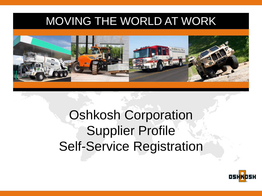### MOVING THE WORLD AT WORK



# Oshkosh Corporation Supplier Profile Self-Service Registration

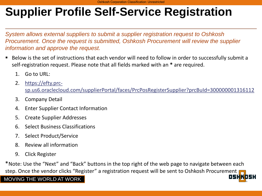*System allows external suppliers to submit a supplier registration request to Oshkosh Procurement. Once the request is submitted, Oshkosh Procurement will review the supplier information and approve the request.*

- Below is the set of instructions that each vendor will need to follow in order to successfully submit a self-registration request. Please note that all fields marked with an **\*** are required.
	- 1. Go to URL:
	- 2. https://efty.prc[sp.us6.oraclecloud.com/supplierPortal/faces/PrcPosRegisterSupplier?prcBuId=300000001316112](https://efty.prc-sp.us6.oraclecloud.com/supplierPortal/faces/PrcPosRegisterSupplier?prcBuId=300000001316112)
	- 3. Company Detail
	- 4. Enter Supplier Contact Information
	- 5. Create Supplier Addresses
	- 6. Select Business Classifications
	- 7. Select Product/Service
	- 8. Review all information
	- 9. Click Register

\*Note: Use the "Next" and "Back" buttons in the top right of the web page to navigate between each step. Once the vendor clicks "Register" a registration request will be sent to Oshkosh Procurement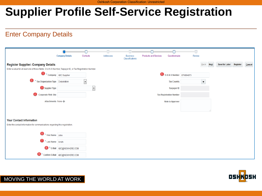#### Enter Company Details

|                                                                                                                  | <b>Company Details</b>         | Contacts                 | Addresses | <b>Business</b><br>Classifications | <b>Products and Services</b> | Questionnaire                  | Review |                      |             |                |          |        |
|------------------------------------------------------------------------------------------------------------------|--------------------------------|--------------------------|-----------|------------------------------------|------------------------------|--------------------------------|--------|----------------------|-------------|----------------|----------|--------|
| <b>Register Supplier: Company Details</b>                                                                        |                                |                          |           |                                    |                              |                                |        | Back                 | <b>Next</b> | Save for Later | Register | Cancel |
| Enter a value for at least one of these fields: D-U-N-S Number, Taxpayer ID, or Tax Registration Number.         |                                |                          |           |                                    |                              |                                |        |                      |             |                |          |        |
| Ð                                                                                                                | * Company ABC Supplier         |                          |           |                                    |                              | 5 D-U-N-S Number 876894873     |        |                      |             |                |          |        |
| <sup>2</sup> * Tax Organization Type Corporation                                                                 |                                | $\overline{\phantom{a}}$ |           |                                    |                              | <b>Tax Country</b>             |        | $\blacktriangledown$ |             |                |          |        |
| 3 Supplier Type                                                                                                  |                                | $\vert$ ,                |           |                                    |                              | <b>Taxpayer ID</b>             |        |                      |             |                |          |        |
| <b>Corporate Web Site</b>                                                                                        |                                |                          |           |                                    |                              | <b>Tax Registration Number</b> |        |                      |             |                |          |        |
| Attachments None                                                                                                 |                                |                          |           |                                    |                              | <b>Note to Approver</b>        |        |                      |             |                |          |        |
|                                                                                                                  |                                |                          |           |                                    |                              |                                |        |                      |             |                |          |        |
| <b>Your Contact Information</b><br>Enter the contact information for communications regarding this registration. |                                |                          |           |                                    |                              |                                |        |                      |             |                |          |        |
| 6 * First Name John                                                                                              |                                |                          |           |                                    |                              |                                |        |                      |             |                |          |        |
| Last Name Smith                                                                                                  |                                |                          |           |                                    |                              |                                |        |                      |             |                |          |        |
|                                                                                                                  | 8 * E-Mail ABC@NOWHERE.COM     |                          |           |                                    |                              |                                |        |                      |             |                |          |        |
| $\bullet$                                                                                                        | Confirm E-Mail ABC@NOWHERE.COM |                          |           |                                    |                              |                                |        |                      |             |                |          |        |

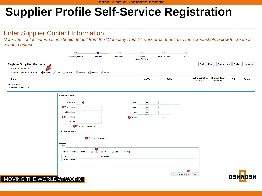#### Enter Supplier Contact Information

*Note: the contact information should default from the "Company Details" work area. If not, use the screenshots below to create a vendor contact*

|                                                                                                                                                         | $\circ$<br><b>Company Details</b>                                                                                                                                                                                                                                                                                                            | <b>Contacts</b>                                                                               | Addresses | <b>Business</b><br>Classifications                                                                                           | <b>Bank Accounts</b>  | Ō<br>Review                             |                                |                       |
|---------------------------------------------------------------------------------------------------------------------------------------------------------|----------------------------------------------------------------------------------------------------------------------------------------------------------------------------------------------------------------------------------------------------------------------------------------------------------------------------------------------|-----------------------------------------------------------------------------------------------|-----------|------------------------------------------------------------------------------------------------------------------------------|-----------------------|-----------------------------------------|--------------------------------|-----------------------|
| <b>Register Supplier: Contacts</b><br>Enter at least one contact.<br>Actions $\blacktriangledown$ View $\blacktriangledown$ Format $\blacktriangledown$ | Create Edit X Delete                                                                                                                                                                                                                                                                                                                         | <b>Elli</b> Freeze a Detach ← Wrap                                                            |           |                                                                                                                              |                       | <b>Back</b>                             | Next<br><b>Save for Later</b>  | Register<br>Cancel    |
| Name<br>No data to display.<br><b>Columns Hidden 7</b>                                                                                                  |                                                                                                                                                                                                                                                                                                                                              |                                                                                               |           | <b>Job Title</b>                                                                                                             | E-Mail                | <b>Administrative</b><br><b>Contact</b> | <b>Request User</b><br>Account | Edit<br><b>Delete</b> |
| MOVING THE WORLD AT WORK                                                                                                                                | <b>Create Contact</b><br>$\vert \cdot \vert$<br><b>Salutation</b><br><sup>*</sup> First Name<br><b>Middle Name</b><br>2 <sup>*</sup> Last Name<br><b>Job Title</b><br>Administrative contact<br>▲ User Account<br>Roles<br>Actions $\blacktriangledown$ View $\blacktriangledown$ Format $\blacktriangledown$<br>Role<br>No data to display. | <b>5</b> Request user account<br>6<br>Freeze <b>a</b> Detach<br>- x - 昆<br><b>Description</b> | ← Wrap    | Phone<br>$\overline{\mathbf{v}}$<br>$\overline{\mathbf{v}}$<br><b>Mobile</b><br>$\blacktriangledown$<br>Fax<br>$3 * E$ -Mail | <b>Create Another</b> | Ø<br>OK Cancel                          |                                | OSH<br>JSK            |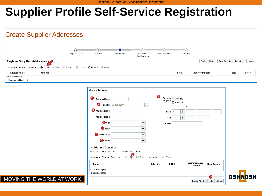#### Create Supplier Addresses



| 1<br>* Address Name                                                                                      |                                                                           |                                                       | 8 * Address @ Ordering<br><b>Purpose</b> |                            |                     |
|----------------------------------------------------------------------------------------------------------|---------------------------------------------------------------------------|-------------------------------------------------------|------------------------------------------|----------------------------|---------------------|
|                                                                                                          | 2 * Country   United States                                               | $\blacktriangledown$                                  |                                          | Remit to<br>RFQ or Bidding |                     |
| 3<br><b>Address Line 1</b>                                                                               |                                                                           |                                                       | Phone<br>$\vert$ 1                       | ▼                          |                     |
| <b>Address Line 2</b>                                                                                    |                                                                           |                                                       | Fax 1                                    | $\overline{\mathbf{v}}$    |                     |
| <b>O</b> City                                                                                            |                                                                           | ▼                                                     | E-Mail                                   |                            |                     |
| (5)<br><b>State</b>                                                                                      |                                                                           | $\blacktriangledown$                                  |                                          |                            |                     |
| <b>6</b> Postal Code                                                                                     |                                                                           | $\blacktriangledown$                                  |                                          |                            |                     |
| County                                                                                                   |                                                                           | ▼                                                     |                                          |                            |                     |
| ⊿ Address Contacts<br>Actions $\blacktriangledown$ View $\blacktriangledown$ Format $\blacktriangledown$ | Select the contacts that are associated with this address.<br>G<br>x<br>国 | $m^*$ Detach<br><b>III</b> Freeze<br><b>Job Title</b> | « Wrap<br>E-Mail                         | <b>Administrative</b>      | <b>User Account</b> |
|                                                                                                          |                                                                           |                                                       |                                          | <b>Contact</b>             |                     |
| Name<br>No data to display.                                                                              |                                                                           |                                                       |                                          |                            |                     |

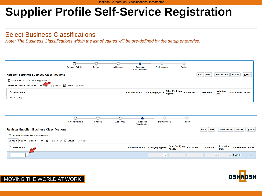#### Select Business Classifications

*Note: The Business Classifications within the list of values will be pre-defined by the setup enterprise.* 





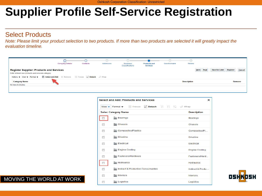#### Select Products

*Note: Please limit your product selection to two products. If more than two products are selected it will greatly impact the evaluation timeline.*

|                                                                                                       | <b>Company Details</b> | Contacts | Addresses | <b>Business</b><br>Classifications | <b>Products and</b><br><b>Services</b> | Questionnaire | Review             |           |                       |          |        |
|-------------------------------------------------------------------------------------------------------|------------------------|----------|-----------|------------------------------------|----------------------------------------|---------------|--------------------|-----------|-----------------------|----------|--------|
| <b>Register Supplier: Products and Services</b><br>Enter at least one products and services category. |                        |          |           |                                    |                                        |               |                    | Back Next | <b>Save for Later</b> | Register | Cancel |
| Actions ▼ View ▼ Format ▼ 司 Select and Add Selemove The Freeze Thetach I Wrap                         |                        |          |           |                                    |                                        |               |                    |           |                       |          |        |
| <b>Category Name</b>                                                                                  |                        |          |           |                                    |                                        |               | <b>Description</b> |           |                       |          | Remove |
| No data to display.                                                                                   |                        |          |           |                                    |                                        |               |                    |           |                       |          |        |
|                                                                                                       |                        |          |           |                                    |                                        |               |                    |           |                       |          |        |

|                           | <b>Select and Add: Products and Services</b> | $\times$              |
|---------------------------|----------------------------------------------|-----------------------|
| View $\blacktriangledown$ | Format $\blacktriangledown$<br><b>Freeze</b> |                       |
|                           | <b>Selec Category Name</b>                   | <b>Description</b>    |
|                           | Bearings                                     | <b>Bearings</b>       |
|                           | Chassis                                      | Chassis               |
| m                         | Composites/Plastics                          | Composites/PI         |
| $\Box$                    | Driveline                                    | <b>Driveline</b>      |
| $\overline{\phantom{a}}$  | Electrical                                   | Electrical            |
| $\Box$                    | Engine Cooling                               | <b>Engine Cooling</b> |
| $\Box$                    | Fasteners/Hardware                           | Fasteners/Hard        |
|                           | <b>Hydraulics</b>                            | Hydraulics            |
| $\blacksquare$            | Indirect & Production Consumables            | Indirect & Produ      |
| $\blacksquare$            | Interiors                                    | Interiors             |
| m                         | Logistics                                    | Logistics             |

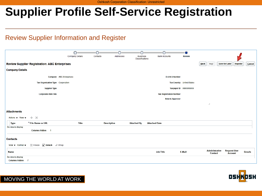#### Review Supplier Information and Register